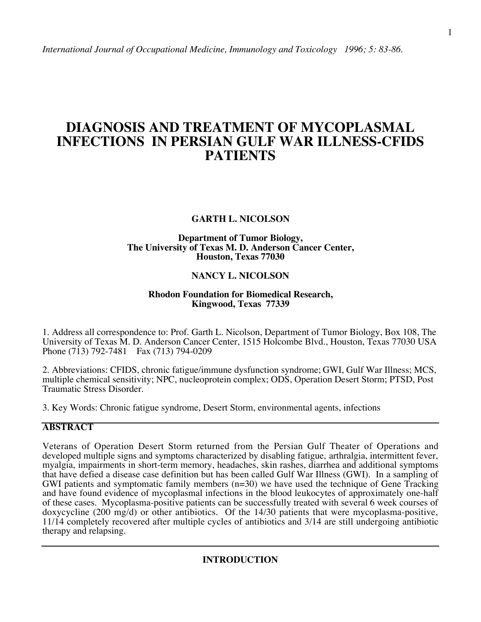# **DIAGNOSIS AND TREATMENT OF MYCOPLASMAL INFECTIONS IN PERSIAN GULF WAR ILLNESS-CFIDS PATIENTS**

# **GARTH L. NICOLSON**

## **Department of Tumor Biology, The University of Texas M. D. Anderson Cancer Center, Houston, Texas 77030**

# **NANCY L. NICOLSON**

### **Rhodon Foundation for Biomedical Research, Kingwood, Texas 77339**

1. Address all correspondence to: Prof. Garth L. Nicolson, Department of Tumor Biology, Box 108, The University of Texas M. D. Anderson Cancer Center, 1515 Holcombe Blvd., Houston, Texas 77030 USA Phone (713) 792-7481 Fax (713) 794-0209

2. Abbreviations: CFIDS, chronic fatigue/immune dysfunction syndrome; GWI, Gulf War Illness; MCS, multiple chemical sensitivity; NPC, nucleoprotein complex; ODS, Operation Desert Storm; PTSD, Post Traumatic Stress Disorder.

3. Key Words: Chronic fatigue syndrome, Desert Storm, environmental agents, infections

# **ABSTRACT**

Veterans of Operation Desert Storm returned from the Persian Gulf Theater of Operations and developed multiple signs and symptoms characterized by disabling fatigue, arthralgia, intermittent fever, myalgia, impairments in short-term memory, headaches, skin rashes, diarrhea and additional symptoms that have defied a disease case definition but has been called Gulf War Illness (GWI). In a sampling of GWI patients and symptomatic family members (n=30) we have used the technique of Gene Tracking and have found evidence of mycoplasmal infections in the blood leukocytes of approximately one-half of these cases. Mycoplasma-positive patients can be successfully treated with several 6 week courses of doxycycline (200 mg/d) or other antibiotics. Of the 14/30 patients that were mycoplasma-positive, 11/14 completely recovered after multiple cycles of antibiotics and 3/14 are still undergoing antibiotic therapy and relapsing.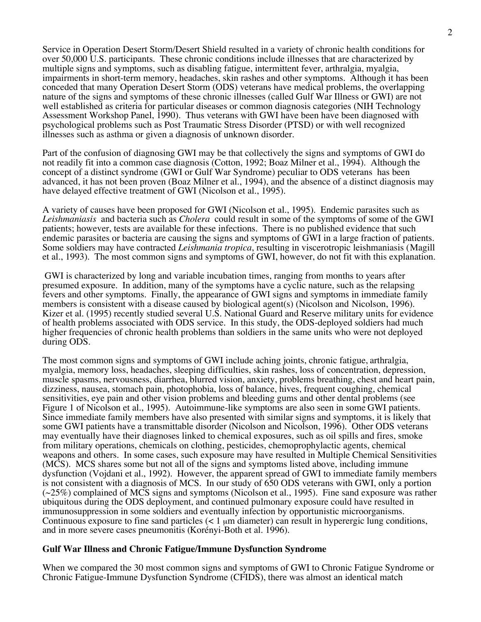Service in Operation Desert Storm/Desert Shield resulted in a variety of chronic health conditions for over 50,000 U.S. participants. These chronic conditions include illnesses that are characterized by multiple signs and symptoms, such as disabling fatigue, intermittent fever, arthralgia, myalgia, impairments in short-term memory, headaches, skin rashes and other symptoms. Although it has been conceded that many Operation Desert Storm (ODS) veterans have medical problems, the overlapping nature of the signs and symptoms of these chronic illnesses (called Gulf War Illness or GWI) are not well established as criteria for particular diseases or common diagnosis categories (NIH Technology Assessment Workshop Panel, 1990). Thus veterans with GWI have been have been diagnosed with psychological problems such as Post Traumatic Stress Disorder (PTSD) or with well recognized illnesses such as asthma or given a diagnosis of unknown disorder.

Part of the confusion of diagnosing GWI may be that collectively the signs and symptoms of GWI do not readily fit into a common case diagnosis (Cotton, 1992; Boaz Milner et al., 1994). Although the concept of a distinct syndrome (GWI or Gulf War Syndrome) peculiar to ODS veterans has been advanced, it has not been proven (Boaz Milner et al., 1994), and the absence of a distinct diagnosis may have delayed effective treatment of GWI (Nicolson et al., 1995).

A variety of causes have been proposed for GWI (Nicolson et al., 1995). Endemic parasites such as *Leishmaniasis* and bacteria such as *Cholera* could result in some of the symptoms of some of the GWI patients; however, tests are available for these infections. There is no published evidence that such endemic parasites or bacteria are causing the signs and symptoms of GWI in a large fraction of patients. Some soldiers may have contracted *Leishmania tropica*, resulting in viscerotropic leishmaniasis (Magill et al., 1993). The most common signs and symptoms of GWI, however, do not fit with this explanation.

 GWI is characterized by long and variable incubation times, ranging from months to years after presumed exposure. In addition, many of the symptoms have a cyclic nature, such as the relapsing fevers and other symptoms. Finally, the appearance of GWI signs and symptoms in immediate family members is consistent with a disease caused by biological agent(s) (Nicolson and Nicolson, 1996). Kizer et al. (1995) recently studied several U.S. National Guard and Reserve military units for evidence of health problems associated with ODS service. In this study, the ODS-deployed soldiers had much higher frequencies of chronic health problems than soldiers in the same units who were not deployed during ODS.

The most common signs and symptoms of GWI include aching joints, chronic fatigue, arthralgia, myalgia, memory loss, headaches, sleeping difficulties, skin rashes, loss of concentration, depression, muscle spasms, nervousness, diarrhea, blurred vision, anxiety, problems breathing, chest and heart pain, dizziness, nausea, stomach pain, photophobia, loss of balance, hives, frequent coughing, chemical sensitivities, eye pain and other vision problems and bleeding gums and other dental problems (see Figure 1 of Nicolson et al., 1995). Autoimmune-like symptoms are also seen in some GWI patients. Since immediate family members have also presented with similar signs and symptoms, it is likely that some GWI patients have a transmittable disorder (Nicolson and Nicolson, 1996). Other ODS veterans may eventually have their diagnoses linked to chemical exposures, such as oil spills and fires, smoke from military operations, chemicals on clothing, pesticides, chemoprophylactic agents, chemical weapons and others. In some cases, such exposure may have resulted in Multiple Chemical Sensitivities (MCS). MCS shares some but not all of the signs and symptoms listed above, including immune dysfunction (Vojdani et al., 1992). However, the apparent spread of GWI to immediate family members is not consistent with a diagnosis of MCS. In our study of 650 ODS veterans with GWI, only a portion  $(\sim 25\%)$  complained of MCS signs and symptoms (Nicolson et al., 1995). Fine sand exposure was rather ubiquitous during the ODS deployment, and continued pulmonary exposure could have resulted in immunosuppression in some soldiers and eventually infection by opportunistic microorganisms. Continuous exposure to fine sand particles  $\left($   $\lt 1 \right)$   $\mu$ m diameter) can result in hyperergic lung conditions, and in more severe cases pneumonitis (Korényi-Both et al. 1996).

# **Gulf War Illness and Chronic Fatigue/Immune Dysfunction Syndrome**

When we compared the 30 most common signs and symptoms of GWI to Chronic Fatigue Syndrome or Chronic Fatigue-Immune Dysfunction Syndrome (CFIDS), there was almost an identical match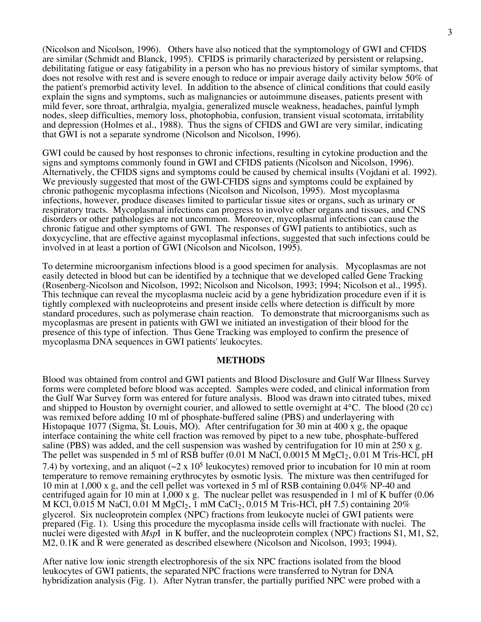(Nicolson and Nicolson, 1996). Others have also noticed that the symptomology of GWI and CFIDS are similar (Schmidt and Blanck, 1995). CFIDS is primarily characterized by persistent or relapsing, debilitating fatigue or easy fatigability in a person who has no previous history of similar symptoms, that does not resolve with rest and is severe enough to reduce or impair average daily activity below 50% of the patient's premorbid activity level. In addition to the absence of clinical conditions that could easily explain the signs and symptoms, such as malignancies or autoimmune diseases, patients present with mild fever, sore throat, arthralgia, myalgia, generalized muscle weakness, headaches, painful lymph nodes, sleep difficulties, memory loss, photophobia, confusion, transient visual scotomata, irritability and depression (Holmes et al., 1988). Thus the signs of CFIDS and GWI are very similar, indicating that GWI is not a separate syndrome (Nicolson and Nicolson, 1996).

GWI could be caused by host responses to chronic infections, resulting in cytokine production and the signs and symptoms commonly found in GWI and CFIDS patients (Nicolson and Nicolson, 1996). Alternatively, the CFIDS signs and symptoms could be caused by chemical insults (Vojdani et al. 1992). We previously suggested that most of the GWI-CFIDS signs and symptoms could be explained by chronic pathogenic mycoplasma infections (Nicolson and Nicolson, 1995). Most mycoplasma infections, however, produce diseases limited to particular tissue sites or organs, such as urinary or respiratory tracts. Mycoplasmal infections can progress to involve other organs and tissues, and CNS disorders or other pathologies are not uncommon. Moreover, mycoplasmal infections can cause the chronic fatigue and other symptoms of GWI. The responses of GWI patients to antibiotics, such as doxycycline, that are effective against mycoplasmal infections, suggested that such infections could be involved in at least a portion of GWI (Nicolson and Nicolson, 1995).

To determine microorganism infections blood is a good specimen for analysis. Mycoplasmas are not easily detected in blood but can be identified by a technique that we developed called Gene Tracking (Rosenberg-Nicolson and Nicolson, 1992; Nicolson and Nicolson, 1993; 1994; Nicolson et al., 1995). This technique can reveal the mycoplasma nucleic acid by a gene hybridization procedure even if it is tightly complexed with nucleoproteins and present inside cells where detection is difficult by more standard procedures, such as polymerase chain reaction. To demonstrate that microorganisms such as mycoplasmas are present in patients with GWI we initiated an investigation of their blood for the presence of this type of infection. Thus Gene Tracking was employed to confirm the presence of mycoplasma DNA sequences in GWI patients' leukocytes.

#### **METHODS**

Blood was obtained from control and GWI patients and Blood Disclosure and Gulf War Illness Survey forms were completed before blood was accepted. Samples were coded, and clinical information from the Gulf War Survey form was entered for future analysis. Blood was drawn into citrated tubes, mixed and shipped to Houston by overnight courier, and allowed to settle overnight at 4°C. The blood (20 cc) was remixed before adding 10 ml of phosphate-buffered saline (PBS) and underlayering with Histopaque 1077 (Sigma, St. Louis, MO). After centrifugation for 30 min at 400 x g, the opaque interface containing the white cell fraction was removed by pipet to a new tube, phosphate-buffered saline (PBS) was added, and the cell suspension was washed by centrifugation for 10 min at 250 x g. The pellet was suspended in 5 ml of RSB buffer  $(0.01 \text{ M NaCl}, 0.0015 \text{ M MgCl}_2, 0.01 \text{ M Tris-HCl}, \text{pH}$ 7.4) by vortexing, and an aliquot ( $\sim$ 2 x 10<sup>5</sup> leukocytes) removed prior to incubation for 10 min at room temperature to remove remaining erythrocytes by osmotic lysis. The mixture was then centrifuged for 10 min at 1,000 x g, and the cell pellet was vortexed in 5 ml of RSB containing 0.04% NP-40 and centrifuged again for 10 min at 1,000 x g. The nuclear pellet was resuspended in 1 ml of K buffer (0.06 M KCl, 0.015 M NaCl, 0.01 M MgCl<sub>2</sub>, 1 mM CaCl<sub>2</sub>, 0.015 M Tris-HCl, pH 7.5) containing 20% glycerol. Six nucleoprotein complex (NPC) fractions from leukocyte nuclei of GWI patients were prepared (Fig. 1). Using this procedure the mycoplasma inside cells will fractionate with nuclei. The nuclei were digested with *Msp*I in K buffer, and the nucleoprotein complex (NPC) fractions S1, M1, S2, M2, 0.1K and R were generated as described elsewhere (Nicolson and Nicolson, 1993; 1994).

After native low ionic strength electrophoresis of the six NPC fractions isolated from the blood leukocytes of GWI patients, the separated NPC fractions were transferred to Nytran for DNA hybridization analysis (Fig. 1). After Nytran transfer, the partially purified NPC were probed with a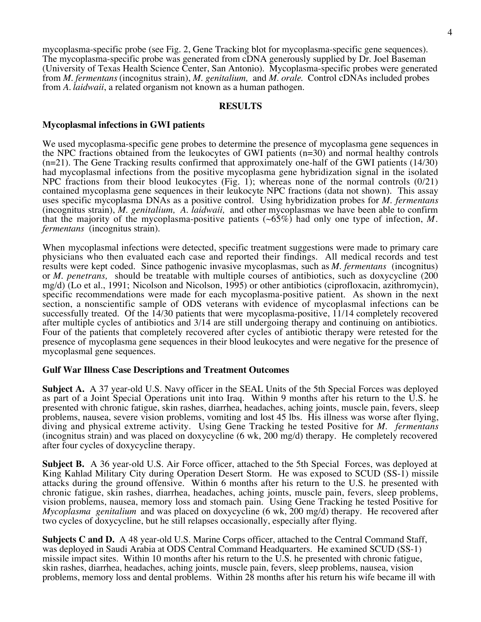mycoplasma-specific probe (see Fig. 2, Gene Tracking blot for mycoplasma-specific gene sequences). The mycoplasma-specific probe was generated from cDNA generously supplied by Dr. Joel Baseman (University of Texas Health Science Center, San Antonio). Mycoplasma-specific probes were generated from *M. fermentans* (incognitus strain), *M. genitalium,* and *M. orale*. Control cDNAs included probes from *A. laidwaii*, a related organism not known as a human pathogen.

#### **RESULTS**

### **Mycoplasmal infections in GWI patients**

We used mycoplasma-specific gene probes to determine the presence of mycoplasma gene sequences in the NPC fractions obtained from the leukocytes of GWI patients (n=30) and normal healthy controls (n=21). The Gene Tracking results confirmed that approximately one-half of the GWI patients (14/30) had mycoplasmal infections from the positive mycoplasma gene hybridization signal in the isolated NPC fractions from their blood leukocytes (Fig. 1); whereas none of the normal controls (0/21) contained mycoplasma gene sequences in their leukocyte NPC fractions (data not shown). This assay uses specific mycoplasma DNAs as a positive control. Using hybridization probes for *M. fermentans* (incognitus strain), *M. genitalium, A. laidwaii,* and other mycoplasmas we have been able to confirm that the majority of the mycoplasma-positive patients  $(\sim 65\%)$  had only one type of infection, M. *fermentans* (incognitus strain).

When mycoplasmal infections were detected, specific treatment suggestions were made to primary care physicians who then evaluated each case and reported their findings. All medical records and test results were kept coded. Since pathogenic invasive mycoplasmas, such as *M. fermentans* (incognitus) or *M. penetrans,* should be treatable with multiple courses of antibiotics, such as doxycycline (200 mg/d) (Lo et al., 1991; Nicolson and Nicolson, 1995) or other antibiotics (ciprofloxacin, azithromycin), specific recommendations were made for each mycoplasma-positive patient. As shown in the next section, a nonscientific sample of ODS veterans with evidence of mycoplasmal infections can be successfully treated. Of the 14/30 patients that were mycoplasma-positive, 11/14 completely recovered after multiple cycles of antibiotics and 3/14 are still undergoing therapy and continuing on antibiotics. Four of the patients that completely recovered after cycles of antibiotic therapy were retested for the presence of mycoplasma gene sequences in their blood leukocytes and were negative for the presence of mycoplasmal gene sequences.

#### **Gulf War Illness Case Descriptions and Treatment Outcomes**

**Subject A.** A 37 year-old U.S. Navy officer in the SEAL Units of the 5th Special Forces was deployed as part of a Joint Special Operations unit into Iraq. Within 9 months after his return to the U.S. he presented with chronic fatigue, skin rashes, diarrhea, headaches, aching joints, muscle pain, fevers, sleep problems, nausea, severe vision problems, vomiting and lost 45 lbs. His illness was worse after flying, diving and physical extreme activity. Using Gene Tracking he tested Positive for *M. fermentans* (incognitus strain) and was placed on doxycycline (6 wk, 200 mg/d) therapy. He completely recovered after four cycles of doxycycline therapy.

**Subject B.** A 36 year-old U.S. Air Force officer, attached to the 5th Special Forces, was deployed at King Kahlad Military City during Operation Desert Storm. He was exposed to SCUD (SS-1) missile attacks during the ground offensive. Within 6 months after his return to the U.S. he presented with chronic fatigue, skin rashes, diarrhea, headaches, aching joints, muscle pain, fevers, sleep problems, vision problems, nausea, memory loss and stomach pain. Using Gene Tracking he tested Positive for *Mycoplasma genitalium* and was placed on doxycycline (6 wk, 200 mg/d) therapy. He recovered after two cycles of doxycycline, but he still relapses occasionally, especially after flying.

**Subjects C and D.** A 48 year-old U.S. Marine Corps officer, attached to the Central Command Staff, was deployed in Saudi Arabia at ODS Central Command Headquarters. He examined SCUD (SS-1) missile impact sites. Within 10 months after his return to the U.S. he presented with chronic fatigue, skin rashes, diarrhea, headaches, aching joints, muscle pain, fevers, sleep problems, nausea, vision problems, memory loss and dental problems. Within 28 months after his return his wife became ill with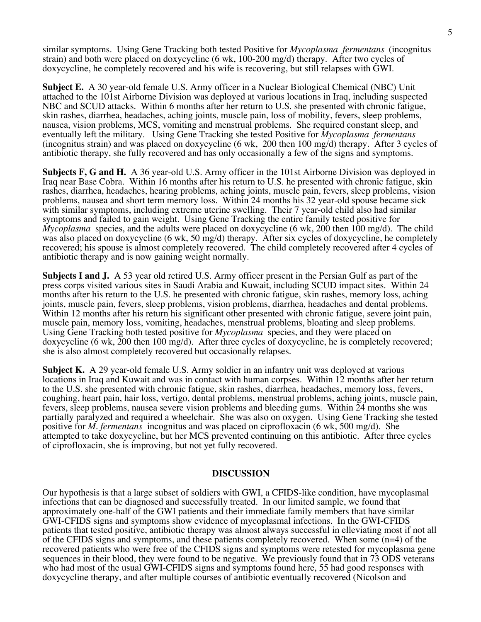similar symptoms. Using Gene Tracking both tested Positive for *Mycoplasma fermentans* (incognitus strain) and both were placed on doxycycline (6 wk, 100-200 mg/d) therapy. After two cycles of doxycycline, he completely recovered and his wife is recovering, but still relapses with GWI.

**Subject E.** A 30 year-old female U.S. Army officer in a Nuclear Biological Chemical (NBC) Unit attached to the 101st Airborne Division was deployed at various locations in Iraq, including suspected NBC and SCUD attacks. Within 6 months after her return to U.S. she presented with chronic fatigue, skin rashes, diarrhea, headaches, aching joints, muscle pain, loss of mobility, fevers, sleep problems, nausea, vision problems, MCS, vomiting and menstrual problems. She required constant sleep, and eventually left the military. Using Gene Tracking she tested Positive for *Mycoplasma fermentans* (incognitus strain) and was placed on doxycycline (6 wk, 200 then 100 mg/d) therapy. After 3 cycles of antibiotic therapy, she fully recovered and has only occasionally a few of the signs and symptoms.

**Subjects F, G and H.** A 36 year-old U.S. Army officer in the 101st Airborne Division was deployed in Iraq near Base Cobra. Within 16 months after his return to U.S. he presented with chronic fatigue, skin rashes, diarrhea, headaches, hearing problems, aching joints, muscle pain, fevers, sleep problems, vision problems, nausea and short term memory loss. Within 24 months his 32 year-old spouse became sick with similar symptoms, including extreme uterine swelling. Their 7 year-old child also had similar symptoms and failed to gain weight. Using Gene Tracking the entire family tested positive for *Mycoplasma* species, and the adults were placed on doxycycline (6 wk, 200 then 100 mg/d). The child was also placed on doxycycline (6 wk, 50 mg/d) therapy. After six cycles of doxycycline, he completely recovered; his spouse is almost completely recovered. The child completely recovered after 4 cycles of antibiotic therapy and is now gaining weight normally.

**Subjects I and J.** A 53 year old retired U.S. Army officer present in the Persian Gulf as part of the press corps visited various sites in Saudi Arabia and Kuwait, including SCUD impact sites. Within 24 months after his return to the U.S. he presented with chronic fatigue, skin rashes, memory loss, aching joints, muscle pain, fevers, sleep problems, vision problems, diarrhea, headaches and dental problems. Within 12 months after his return his significant other presented with chronic fatigue, severe joint pain, muscle pain, memory loss, vomiting, headaches, menstrual problems, bloating and sleep problems. Using Gene Tracking both tested positive for *Mycoplasma* species, and they were placed on doxycycline (6 wk, 200 then 100 mg/d). After three cycles of doxycycline, he is completely recovered; she is also almost completely recovered but occasionally relapses.

**Subject K.** A 29 year-old female U.S. Army soldier in an infantry unit was deployed at various locations in Iraq and Kuwait and was in contact with human corpses. Within 12 months after her return to the U.S. she presented with chronic fatigue, skin rashes, diarrhea, headaches, memory loss, fevers, coughing, heart pain, hair loss, vertigo, dental problems, menstrual problems, aching joints, muscle pain, fevers, sleep problems, nausea severe vision problems and bleeding gums. Within 24 months she was partially paralyzed and required a wheelchair. She was also on oxygen. Using Gene Tracking she tested positive for *M. fermentans* incognitus and was placed on ciprofloxacin (6 wk, 500 mg/d). She attempted to take doxycycline, but her MCS prevented continuing on this antibiotic. After three cycles of ciprofloxacin, she is improving, but not yet fully recovered.

#### **DISCUSSION**

Our hypothesis is that a large subset of soldiers with GWI, a CFIDS-like condition, have mycoplasmal infections that can be diagnosed and successfully treated. In our limited sample, we found that approximately one-half of the GWI patients and their immediate family members that have similar GWI-CFIDS signs and symptoms show evidence of mycoplasmal infections. In the GWI-CFIDS patients that tested positive, antibiotic therapy was almost always successful in elleviating most if not all of the CFIDS signs and symptoms, and these patients completely recovered. When some (n=4) of the recovered patients who were free of the CFIDS signs and symptoms were retested for mycoplasma gene sequences in their blood, they were found to be negative. We previously found that in 73 ODS veterans who had most of the usual GWI-CFIDS signs and symptoms found here, 55 had good responses with doxycycline therapy, and after multiple courses of antibiotic eventually recovered (Nicolson and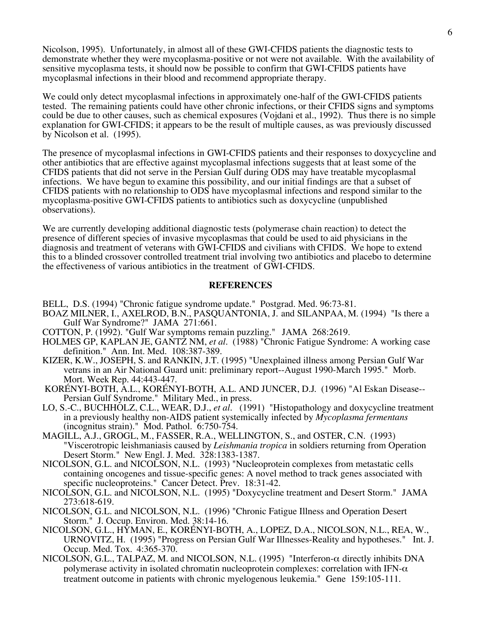Nicolson, 1995). Unfortunately, in almost all of these GWI-CFIDS patients the diagnostic tests to demonstrate whether they were mycoplasma-positive or not were not available. With the availability of sensitive mycoplasma tests, it should now be possible to confirm that GWI-CFIDS patients have mycoplasmal infections in their blood and recommend appropriate therapy.

We could only detect mycoplasmal infections in approximately one-half of the GWI-CFIDS patients tested. The remaining patients could have other chronic infections, or their CFIDS signs and symptoms could be due to other causes, such as chemical exposures (Vojdani et al., 1992). Thus there is no simple explanation for GWI-CFIDS; it appears to be the result of multiple causes, as was previously discussed by Nicolson et al. (1995).

The presence of mycoplasmal infections in GWI-CFIDS patients and their responses to doxycycline and other antibiotics that are effective against mycoplasmal infections suggests that at least some of the CFIDS patients that did not serve in the Persian Gulf during ODS may have treatable mycoplasmal infections. We have begun to examine this possibility, and our initial findings are that a subset of CFIDS patients with no relationship to ODS have mycoplasmal infections and respond similar to the mycoplasma-positive GWI-CFIDS patients to antibiotics such as doxycycline (unpublished observations).

We are currently developing additional diagnostic tests (polymerase chain reaction) to detect the presence of different species of invasive mycoplasmas that could be used to aid physicians in the diagnosis and treatment of veterans with GWI-CFIDS and civilians with CFIDS. We hope to extend this to a blinded crossover controlled treatment trial involving two antibiotics and placebo to determine the effectiveness of various antibiotics in the treatment of GWI-CFIDS.

### **REFERENCES**

- BELL, D.S. (1994) "Chronic fatigue syndrome update." Postgrad. Med. 96:73-81.
- BOAZ MILNER, I., AXELROD, B.N., PASQUANTONIA, J. and SILANPAA, M. (1994) "Is there a Gulf War Syndrome?" JAMA 271:661.
- COTTON, P. (1992). "Gulf War symptoms remain puzzling." JAMA 268:2619.
- HOLMES GP, KAPLAN JE, GANTZ NM, *et al.* (1988) "Chronic Fatigue Syndrome: A working case definition." Ann. Int. Med. 108:387-389.
- KIZER, K.W., JOSEPH, S. and RANKIN, J.T. (1995) "Unexplained illness among Persian Gulf War vetrans in an Air National Guard unit: preliminary report--August 1990-March 1995." Morb.
- KORÉNYI-BOTH, A.L., KORÉNYI-BOTH, A.L. AND JUNCER, D.J. (1996) "Al Eskan Disease--Persian Gulf Syndrome." Military Med., in press.
- LO, S.-C., BUCHHOLZ, C.L., WEAR, D.J., *et al.* (1991) "Histopathology and doxycycline treatment in a previously healthy non-AIDS patient systemically infected by *Mycoplasma fermentans* (incognitus strain)." Mod. Pathol. 6:750-754.
- MAGILL, A.J., GROGL, M., FASSER, R.A., WELLINGTON, S., and OSTER, C.N. (1993) "Viscerotropic leishmaniasis caused by *Leishmania tropica* in soldiers returning from Operation Desert Storm." New Engl. J. Med. 328:1383-1387.
- NICOLSON, G.L. and NICOLSON, N.L. (1993) "Nucleoprotein complexes from metastatic cells containing oncogenes and tissue-specific genes: A novel method to track genes associated with specific nucleoproteins." Cancer Detect. Prev. 18:31-42.
- NICOLSON, G.L. and NICOLSON, N.L. (1995) "Doxycycline treatment and Desert Storm." JAMA 273:618-619.
- NICOLSON, G.L. and NICOLSON, N.L. (1996) "Chronic Fatigue Illness and Operation Desert Storm." J. Occup. Environ. Med. 38:14-16.
- NICOLSON, G.L., HYMAN, E., KORÉNYI-BOTH, A., LOPEZ, D.A., NICOLSON, N.L., REA, W., URNOVITZ, H. (1995) "Progress on Persian Gulf War Illnesses-Reality and hypotheses." Int. J. Occup. Med. Tox. 4:365-370.
- NICOLSON, G.L., TALPAZ, M. and NICOLSON, N.L. (1995) "Interferon- $\alpha$  directly inhibits DNA polymerase activity in isolated chromatin nucleoprotein complexes: correlation with IFN- $\alpha$ treatment outcome in patients with chronic myelogenous leukemia." Gene 159:105-111.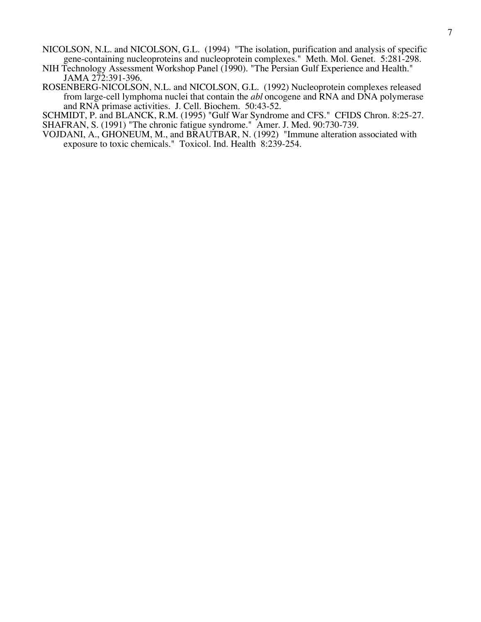- NICOLSON, N.L. and NICOLSON, G.L. (1994) "The isolation, purification and analysis of specific gene-containing nucleoproteins and nucleoprotein complexes." Meth. Mol. Genet. 5:281-298.
- NIH Technology Assessment Workshop Panel (1990). "The Persian Gulf Experience and Health." JAMA 272:391-396.
- ROSENBERG-NICOLSON, N.L. and NICOLSON, G.L. (1992) Nucleoprotein complexes released from large-cell lymphoma nuclei that contain the *abl* oncogene and RNA and DNA polymerase and RNA primase activities. J. Cell. Biochem. 50:43-52.

SCHMIDT, P. and BLANCK, R.M. (1995) "Gulf War Syndrome and CFS." CFIDS Chron. 8:25-27. SHAFRAN, S. (1991) "The chronic fatigue syndrome."Amer. J. Med. 90:730-739.

VOJDANI, A., GHONEUM, M., and BRAUTBAR, N. (1992) "Immune alteration associated with exposure to toxic chemicals." Toxicol. Ind. Health 8:239-254.